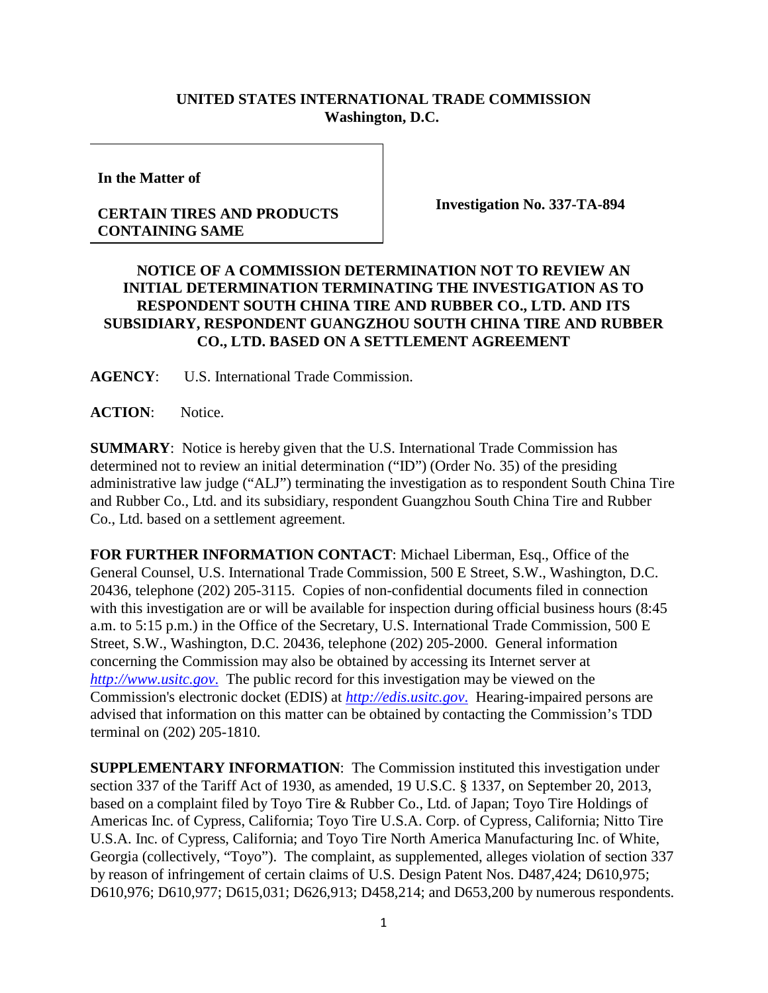## **UNITED STATES INTERNATIONAL TRADE COMMISSION Washington, D.C.**

**In the Matter of**

## **CERTAIN TIRES AND PRODUCTS CONTAINING SAME**

**Investigation No. 337-TA-894**

## **NOTICE OF A COMMISSION DETERMINATION NOT TO REVIEW AN INITIAL DETERMINATION TERMINATING THE INVESTIGATION AS TO RESPONDENT SOUTH CHINA TIRE AND RUBBER CO., LTD. AND ITS SUBSIDIARY, RESPONDENT GUANGZHOU SOUTH CHINA TIRE AND RUBBER CO., LTD. BASED ON A SETTLEMENT AGREEMENT**

**AGENCY**: U.S. International Trade Commission.

**ACTION**: Notice.

**SUMMARY**: Notice is hereby given that the U.S. International Trade Commission has determined not to review an initial determination ("ID") (Order No. 35) of the presiding administrative law judge ("ALJ") terminating the investigation as to respondent South China Tire and Rubber Co., Ltd. and its subsidiary, respondent Guangzhou South China Tire and Rubber Co., Ltd. based on a settlement agreement.

**FOR FURTHER INFORMATION CONTACT**: Michael Liberman, Esq., Office of the General Counsel, U.S. International Trade Commission, 500 E Street, S.W., Washington, D.C. 20436, telephone (202) 205-3115. Copies of non-confidential documents filed in connection with this investigation are or will be available for inspection during official business hours (8:45) a.m. to 5:15 p.m.) in the Office of the Secretary, U.S. International Trade Commission, 500 E Street, S.W., Washington, D.C. 20436, telephone (202) 205-2000. General information concerning the Commission may also be obtained by accessing its Internet server at *[http://www.usitc.gov](http://www.usitc.gov./)*. The public record for this investigation may be viewed on the Commission's electronic docket (EDIS) at *[http://edis.usitc.gov](http://edis.usitc.gov./)*. Hearing-impaired persons are advised that information on this matter can be obtained by contacting the Commission's TDD terminal on (202) 205-1810.

**SUPPLEMENTARY INFORMATION**: The Commission instituted this investigation under section 337 of the Tariff Act of 1930, as amended, 19 U.S.C. § 1337, on September 20, 2013, based on a complaint filed by Toyo Tire & Rubber Co., Ltd. of Japan; Toyo Tire Holdings of Americas Inc. of Cypress, California; Toyo Tire U.S.A. Corp. of Cypress, California; Nitto Tire U.S.A. Inc. of Cypress, California; and Toyo Tire North America Manufacturing Inc. of White, Georgia (collectively, "Toyo"). The complaint, as supplemented, alleges violation of section 337 by reason of infringement of certain claims of U.S. Design Patent Nos. D487,424; D610,975; D610,976; D610,977; D615,031; D626,913; D458,214; and D653,200 by numerous respondents.